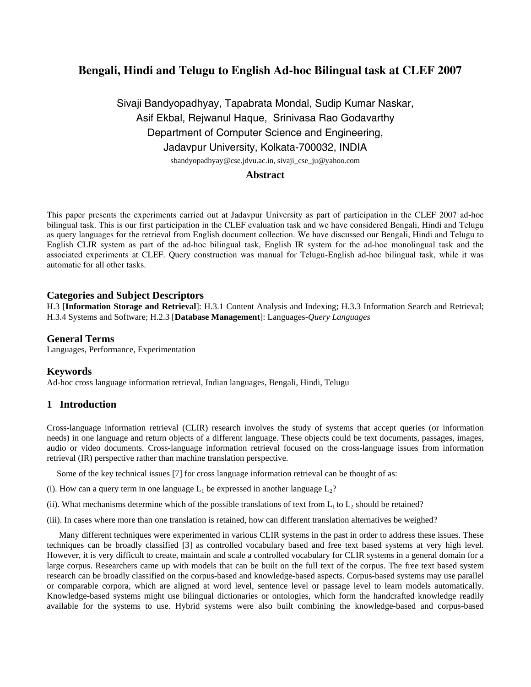# **Bengali, Hindi and Telugu to English Ad-hoc Bilingual task at CLEF 2007**

# Sivaji Bandyopadhyay, Tapabrata Mondal, Sudip Kumar Naskar, Asif Ekbal, Rejwanul Haque, Srinivasa Rao Godavarthy Department of Computer Science and Engineering, Jadavpur University, Kolkata-700032, INDIA sbandyopadhyay@cse.jdvu.ac.in, sivaji\_cse\_ju@yahoo.com

## **Abstract**

This paper presents the experiments carried out at Jadavpur University as part of participation in the CLEF 2007 ad-hoc bilingual task. This is our first participation in the CLEF evaluation task and we have considered Bengali, Hindi and Telugu as query languages for the retrieval from English document collection. We have discussed our Bengali, Hindi and Telugu to English CLIR system as part of the ad-hoc bilingual task, English IR system for the ad-hoc monolingual task and the associated experiments at CLEF. Query construction was manual for Telugu-English ad-hoc bilingual task, while it was automatic for all other tasks.

## **Categories and Subject Descriptors**

H.3 [**Information Storage and Retrieval**]: H.3.1 Content Analysis and Indexing; H.3.3 Information Search and Retrieval; H.3.4 Systems and Software; H.2.3 [**Database Management**]: Languages-*Query Languages* 

## **General Terms**

Languages, Performance, Experimentation

### **Keywords**

Ad-hoc cross language information retrieval, Indian languages, Bengali, Hindi, Telugu

## **1 Introduction**

Cross-language information retrieval (CLIR) research involves the study of systems that accept queries (or information needs) in one language and return objects of a different language. These objects could be text documents, passages, images, audio or video documents. Cross-language information retrieval focused on the cross-language issues from information retrieval (IR) perspective rather than machine translation perspective.

Some of the key technical issues [7] for cross language information retrieval can be thought of as:

- (i). How can a query term in one language  $L_1$  be expressed in another language  $L_2$ ?
- (ii). What mechanisms determine which of the possible translations of text from  $L_1$  to  $L_2$  should be retained?
- (iii). In cases where more than one translation is retained, how can different translation alternatives be weighed?

 Many different techniques were experimented in various CLIR systems in the past in order to address these issues. These techniques can be broadly classified [3] as controlled vocabulary based and free text based systems at very high level. However, it is very difficult to create, maintain and scale a controlled vocabulary for CLIR systems in a general domain for a large corpus. Researchers came up with models that can be built on the full text of the corpus. The free text based system research can be broadly classified on the corpus-based and knowledge-based aspects. Corpus-based systems may use parallel or comparable corpora, which are aligned at word level, sentence level or passage level to learn models automatically. Knowledge-based systems might use bilingual dictionaries or ontologies, which form the handcrafted knowledge readily available for the systems to use. Hybrid systems were also built combining the knowledge-based and corpus-based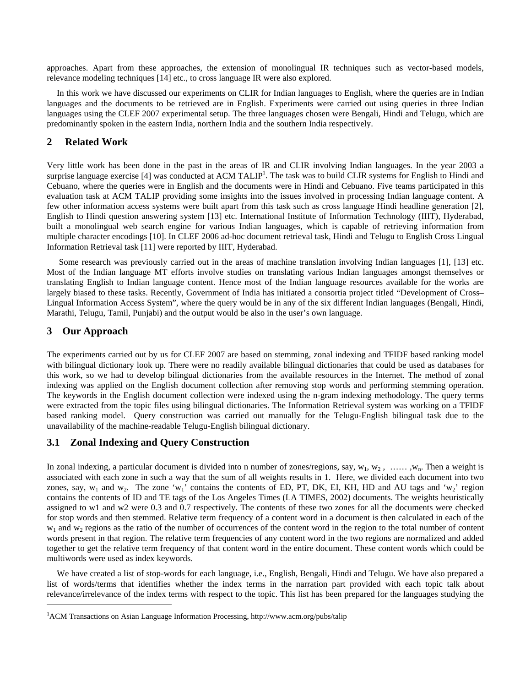approaches. Apart from these approaches, the extension of monolingual IR techniques such as vector-based models, relevance modeling techniques [14] etc., to cross language IR were also explored.

In this work we have discussed our experiments on CLIR for Indian languages to English, where the queries are in Indian languages and the documents to be retrieved are in English. Experiments were carried out using queries in three Indian languages using the CLEF 2007 experimental setup. The three languages chosen were Bengali, Hindi and Telugu, which are predominantly spoken in the eastern India, northern India and the southern India respectively.

## **2 Related Work**

Very little work has been done in the past in the areas of IR and CLIR involving Indian languages. In the year 2003 a surprise language exercise [4] was conducted at ACM TALIP<sup>1</sup>[.](#page-1-0) The task was to build CLIR systems for English to Hindi and Cebuano, where the queries were in English and the documents were in Hindi and Cebuano. Five teams participated in this evaluation task at ACM TALIP providing some insights into the issues involved in processing Indian language content. A few other information access systems were built apart from this task such as cross language Hindi headline generation [2], English to Hindi question answering system [13] etc. International Institute of Information Technology (IIIT), Hyderabad, built a monolingual web search engine for various Indian languages, which is capable of retrieving information from multiple character encodings [10]. In CLEF 2006 ad-hoc document retrieval task, Hindi and Telugu to English Cross Lingual Information Retrieval task [11] were reported by IIIT, Hyderabad.

 Some research was previously carried out in the areas of machine translation involving Indian languages [1], [13] etc. Most of the Indian language MT efforts involve studies on translating various Indian languages amongst themselves or translating English to Indian language content. Hence most of the Indian language resources available for the works are largely biased to these tasks. Recently, Government of India has initiated a consortia project titled "Development of Cross– Lingual Information Access System", where the query would be in any of the six different Indian languages (Bengali, Hindi, Marathi, Telugu, Tamil, Punjabi) and the output would be also in the user's own language.

### **3 Our Approach**

 $\overline{a}$ 

The experiments carried out by us for CLEF 2007 are based on stemming, zonal indexing and TFIDF based ranking model with bilingual dictionary look up. There were no readily available bilingual dictionaries that could be used as databases for this work, so we had to develop bilingual dictionaries from the available resources in the Internet. The method of zonal indexing was applied on the English document collection after removing stop words and performing stemming operation. The keywords in the English document collection were indexed using the n-gram indexing methodology. The query terms were extracted from the topic files using bilingual dictionaries. The Information Retrieval system was working on a TFIDF based ranking model. Query construction was carried out manually for the Telugu-English bilingual task due to the unavailability of the machine-readable Telugu-English bilingual dictionary.

#### **3.1 Zonal Indexing and Query Construction**

In zonal indexing, a particular document is divided into n number of zones/regions, say,  $w_1, w_2, \ldots, w_n$ . Then a weight is associated with each zone in such a way that the sum of all weights results in 1. Here, we divided each document into two zones, say,  $w_1$  and  $w_2$ . The zone 'w<sub>1</sub>' contains the contents of ED, PT, DK, EI, KH, HD and AU tags and 'w<sub>2</sub>' region contains the contents of ID and TE tags of the Los Angeles Times (LA TIMES, 2002) documents. The weights heuristically assigned to w1 and w2 were 0.3 and 0.7 respectively. The contents of these two zones for all the documents were checked for stop words and then stemmed. Relative term frequency of a content word in a document is then calculated in each of the  $w_1$  and  $w_2$  regions as the ratio of the number of occurrences of the content word in the region to the total number of content words present in that region. The relative term frequencies of any content word in the two regions are normalized and added together to get the relative term frequency of that content word in the entire document. These content words which could be multiwords were used as index keywords.

We have created a list of stop-words for each language, i.e., English, Bengali, Hindi and Telugu. We have also prepared a list of words/terms that identifies whether the index terms in the narration part provided with each topic talk about relevance/irrelevance of the index terms with respect to the topic. This list has been prepared for the languages studying the

<span id="page-1-0"></span><sup>&</sup>lt;sup>1</sup>ACM Transactions on Asian Language Information Processing, http://www.acm.org/pubs/talip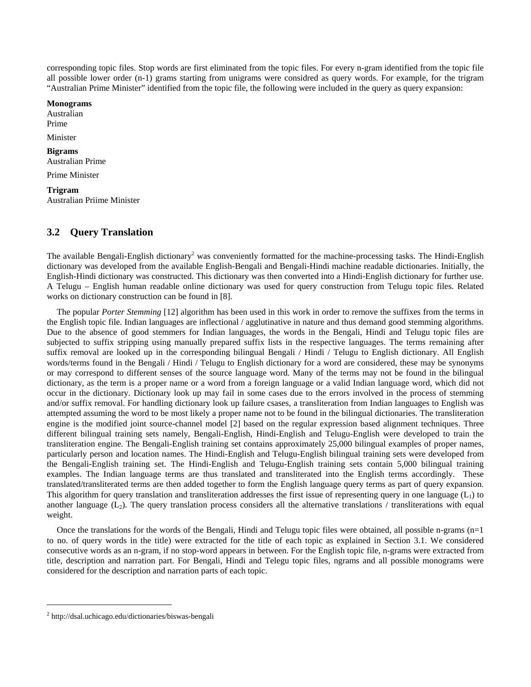corresponding topic files. Stop words are first eliminated from the topic files. For every n-gram identified from the topic file all possible lower order (n-1) grams starting from unigrams were considred as query words. For example, for the trigram "Australian Prime Minister" identified from the topic file, the following were included in the query as query expansion:

#### **Monograms**

Australian Prime Minister

## **Bigrams**  Australian Prime

Prime Minister

**Trigram**  Australian Priime Minister

## **3.2 Query Translation**

The available Bengali-English dictionary<sup>2</sup> was conveniently formatted for the machine-processing tasks. The Hindi-English dictionary was developed from the available English-Bengali and Bengali-Hindi machine readable dictionaries. Initially, the English-Hindi dictionary was constructed. This dictionary was then converted into a Hindi-English dictionary for further use. A Telugu – English human readable online dictionary was used for query construction from Telugu topic files. Related works on dictionary construction can be found in [8].

The popular *Porter Stemming* [12] algorithm has been used in this work in order to remove the suffixes from the terms in the English topic file. Indian languages are inflectional / agglutinative in nature and thus demand good stemming algorithms. Due to the absence of good stemmers for Indian languages, the words in the Bengali, Hindi and Telugu topic files are subjected to suffix stripping using manually prepared suffix lists in the respective languages. The terms remaining after suffix removal are looked up in the corresponding bilingual Bengali / Hindi / Telugu to English dictionary. All English words/terms found in the Bengali / Hindi / Telugu to English dictionary for a word are considered, these may be synonyms or may correspond to different senses of the source language word. Many of the terms may not be found in the bilingual dictionary, as the term is a proper name or a word from a foreign language or a valid Indian language word, which did not occur in the dictionary. Dictionary look up may fail in some cases due to the errors involved in the process of stemming and/or suffix removal. For handling dictionary look up failure csases, a transliteration from Indian languages to English was attempted assuming the word to be most likely a proper name not to be found in the bilingual dictionaries. The transliteration engine is the modified joint source-channel model [2] based on the regular expression based alignment techniques. Three different bilingual training sets namely, Bengali-English, Hindi-English and Telugu-English were developed to train the transliteration engine. The Bengali-English training set contains approximately 25,000 bilingual examples of proper names, particularly person and location names. The Hindi-English and Telugu-English bilingual training sets were developed from the Bengali-English training set. The Hindi-English and Telugu-English training sets contain 5,000 bilingual training examples. The Indian language terms are thus translated and transliterated into the English terms accordingly. These translated/transliterated terms are then added together to form the English language query terms as part of query expansion. This algorithm for query translation and transliteration addresses the first issue of representing query in one language  $(L<sub>1</sub>)$  to another language  $(L_2)$ . The query translation process considers all the alternative translations / transliterations with equal weight.

Once the translations for the words of the Bengali, Hindi and Telugu topic files were obtained, all possible n-grams  $(n=1)$ to no. of query words in the title) were extracted for the title of each topic as explained in Section 3.1. We considered consecutive words as an n-gram, if no stop-word appears in between. For the English topic file, n-grams were extracted from title, description and narration part. For Bengali, Hindi and Telegu topic files, ngrams and all possible monograms were considered for the description and narration parts of each topic.

 $\overline{a}$ 

<span id="page-2-0"></span><sup>&</sup>lt;sup>2</sup> http://dsal.uchicago.edu/dictionaries/biswas-bengali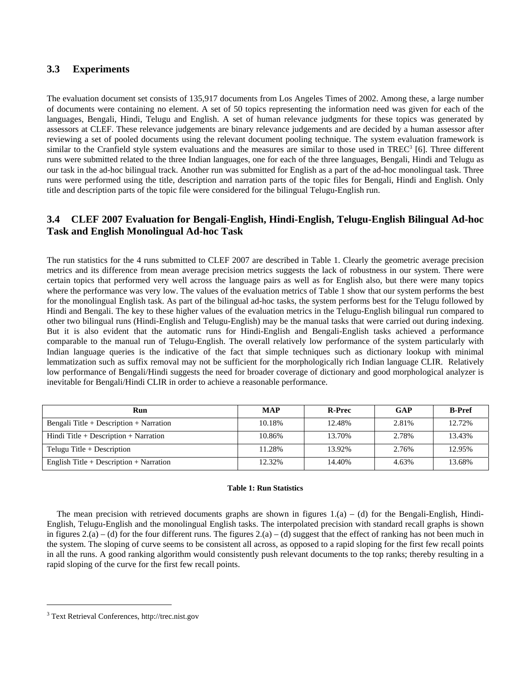## **3.3 Experiments**

The evaluation document set consists of 135,917 documents from Los Angeles Times of 2002. Among these, a large number of documents were containing no element. A set of 50 topics representing the information need was given for each of the languages, Bengali, Hindi, Telugu and English. A set of human relevance judgments for these topics was generated by assessors at CLEF. These relevance judgements are binary relevance judgements and are decided by a human assessor after reviewing a set of pooled documents using the relevant document pooling technique. The system evaluation framework is similarto the Cranfield style system evaluations and the measures are similar to those used in TREC<sup>3</sup> [6]. Three different runs were submitted related to the three Indian languages, one for each of the three languages, Bengali, Hindi and Telugu as our task in the ad-hoc bilingual track. Another run was submitted for English as a part of the ad-hoc monolingual task. Three runs were performed using the title, description and narration parts of the topic files for Bengali, Hindi and English. Only title and description parts of the topic file were considered for the bilingual Telugu-English run.

## **3.4 CLEF 2007 Evaluation for Bengali-English, Hindi-English, Telugu-English Bilingual Ad-hoc Task and English Monolingual Ad-hoc Task**

The run statistics for the 4 runs submitted to CLEF 2007 are described in Table 1. Clearly the geometric average precision metrics and its difference from mean average precision metrics suggests the lack of robustness in our system. There were certain topics that performed very well across the language pairs as well as for English also, but there were many topics where the performance was very low. The values of the evaluation metrics of Table 1 show that our system performs the best for the monolingual English task. As part of the bilingual ad-hoc tasks, the system performs best for the Telugu followed by Hindi and Bengali. The key to these higher values of the evaluation metrics in the Telugu-English bilingual run compared to other two bilingual runs (Hindi-English and Telugu-English) may be the manual tasks that were carried out during indexing. But it is also evident that the automatic runs for Hindi-English and Bengali-English tasks achieved a performance comparable to the manual run of Telugu-English. The overall relatively low performance of the system particularly with Indian language queries is the indicative of the fact that simple techniques such as dictionary lookup with minimal lemmatization such as suffix removal may not be sufficient for the morphologically rich Indian language CLIR. Relatively low performance of Bengali/Hindi suggests the need for broader coverage of dictionary and good morphological analyzer is inevitable for Bengali/Hindi CLIR in order to achieve a reasonable performance.

| Run                                     | <b>MAP</b> | <b>R-Prec</b> | GAP   | <b>B-Pref</b> |
|-----------------------------------------|------------|---------------|-------|---------------|
| Bengali Title + Description + Narration | 10.18%     | 12.48%        | 2.81% | 12.72%        |
| Hindi Title + Description + Narration   | 10.86%     | 13.70%        | 2.78% | 13.43%        |
| Telugu Title $+$ Description            | 11.28%     | 13.92%        | 2.76% | 12.95%        |
| English Title + Description + Narration | 12.32%     | 14.40%        | 4.63% | 13.68%        |

#### **Table 1: Run Statistics**

The mean precision with retrieved documents graphs are shown in figures  $1.(a) - (d)$  for the Bengali-English, Hindi-English, Telugu-English and the monolingual English tasks. The interpolated precision with standard recall graphs is shown in figures  $2(a) - (d)$  for the four different runs. The figures  $2(a) - (d)$  suggest that the effect of ranking has not been much in the system. The sloping of curve seems to be consistent all across, as opposed to a rapid sloping for the first few recall points in all the runs. A good ranking algorithm would consistently push relevant documents to the top ranks; thereby resulting in a rapid sloping of the curve for the first few recall points.

 $\overline{a}$ 

<span id="page-3-0"></span><sup>3</sup> Text Retrieval Conferences, http://trec.nist.gov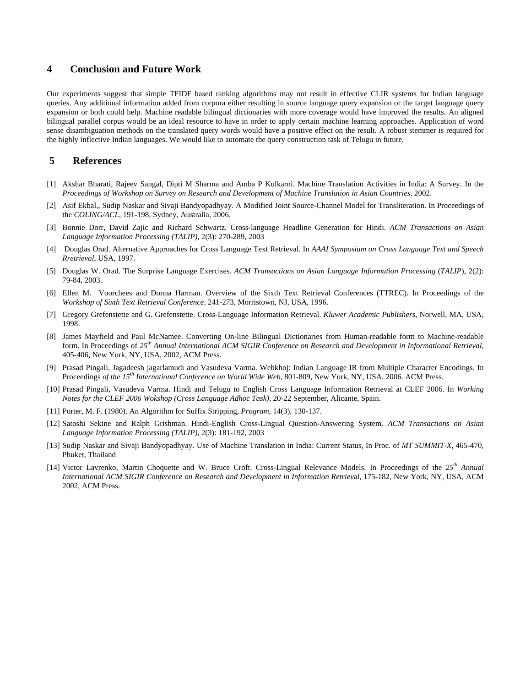#### **4 Conclusion and Future Work**

Our experiments suggest that simple TFIDF based ranking algorithms may not result in effective CLIR systems for Indian language queries. Any additional information added from corpora either resulting in source language query expansion or the target language query expansion or both could help. Machine readable bilingual dictionaries with more coverage would have improved the results. An aligned bilingual parallel corpus would be an ideal resource to have in order to apply certain machine learning approaches. Application of word sense disambiguation methods on the translated query words would have a positive effect on the result. A robust stemmer is required for the highly inflective Indian languages. We would like to automate the query construction task of Telugu in future.

#### **5 References**

- [1] Akshar Bharati, Rajeev Sangal, Dipti M Sharma and Amba P Kulkarni. Machine Translation Activities in India: A Survey. In the *Proceedings of Workshop on Survey on Research and Development of Machine Translation in Asian Countries*, 2002.
- [2] Asif Ekbal,, Sudip Naskar and Sivaji Bandyopadhyay. A Modified Joint Source-Channel Model for Transliteration. In Proceedings of the *COLING/ACL*, 191-198, Sydney, Australia, 2006.
- [3] Bonnie Dorr, David Zajic and Richard Schwartz. Cross-language Headline Generation for Hindi. *ACM Transactions on Asian Language Information Processing (TALIP)*, 2(3): 270-289, 2003
- [4] Douglas Orad. Alternative Approaches for Cross Language Text Retrieval. In *AAAI Symposium on Cross Language Text and Speech Rretrieval*, USA, 1997.
- [5] Douglas W. Orad. The Surprise Language Exercises. *ACM Transactions on Asian Language Information Processing* (*TALIP*), 2(2): 79-84, 2003.
- [6] Ellen M. Voorchees and Donna Harman. Overview of the Sixth Text Retrieval Conferences (TTREC). In Proceedings of the *Workshop of Sixth Text Retrieval Conference*. 241-273, Morristown, NJ, USA, 1996.
- [7] Gregory Grefenstette and G. Grefenstette. Cross-Language Information Retrieval. *Kluwer Academic Publishers*, Norwell, MA, USA, 1998.
- [8] James Mayfield and Paul McNamee. Converting On-line Bilingual Dictionaries from Human-readable form to Machine-readable form. In Proceedings of *25th Annual International ACM SIGIR Conference on Research and Development in Informational Retrieval*, 405-406, New York, NY, USA, 2002, ACM Press.
- [9] Prasad Pingali, Jagadeesh jagarlamudi and Vasudeva Varma. Webkhoj: Indian Language IR from Multiple Character Encodings. In Proceedings of the 15<sup>th</sup> International Conference on World Wide Web, 801-809, New York, NY, USA, 2006. ACM Press.
- [10] Prasad Pingali, Vasudeva Varma. Hindi and Telugu to English Cross Language Information Retrieval at CLEF 2006. In *Working Notes for the CLEF 2006 Wokshop (Cross Language Adhoc Task),* 20-22 September, Alicante, Spain.
- [11] Porter, M. F. (1980). An Algorithm for Suffix Stripping, *Program*, 14(3), 130-137.
- [12] Satoshi Sekine and Ralph Grishman. Hindi-English Cross-Lingual Question-Answering System. *ACM Transactions on Asian Language Information Processing (TALIP)*, 2(3): 181-192, 2003
- [13] Sudip Naskar and Sivaji Bandyopadhyay. Use of Machine Translation in India: Current Status, In Proc. of *MT SUMMIT-X*, 465-470, Phuket, Thailand
- [14] Victor Lavrenko, Martin Choquette and W. Bruce Croft. Cross-Lingual Relevance Models. In Proceedings of the *25th Annual International ACM SIGIR Conference on Research and Development in Information Retriev*al, 175-182, New York, NY, USA, ACM 2002, ACM Press.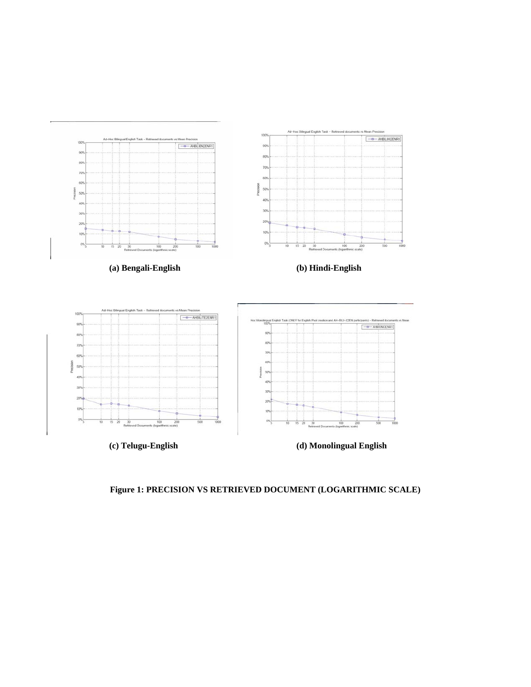

**Figure 1: PRECISION VS RETRIEVED DOCUMENT (LOGARITHMIC SCALE)**